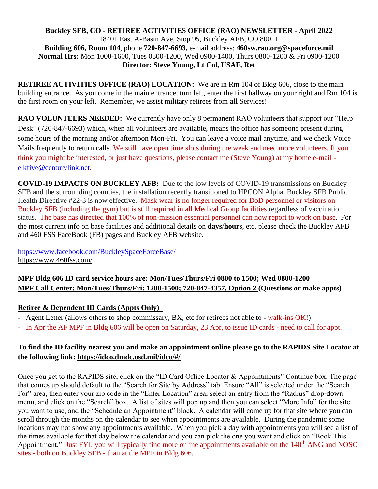#### **Buckley SFB, CO - RETIREE ACTIVITIES OFFICE (RAO) NEWSLETTER - April 2022** 18401 East A-Basin Ave, Stop 95, Buckley AFB, CO 80011 **Building 606, Room 104**, phone **720-847-6693,** e-mail address: **460sw.rao.org@spaceforce.mil Normal Hrs:** Mon 1000-1600, Tues 0800-1200, Wed 0900-1400, Thurs 0800-1200 & Fri 0900-1200 **Director: Steve Young, Lt Col, USAF, Ret**

**RETIREE ACTIVITIES OFFICE (RAO) LOCATION:** We are in Rm 104 of Bldg 606, close to the main building entrance. As you come in the main entrance, turn left, enter the first hallway on your right and Rm 104 is the first room on your left. Remember, we assist military retirees from **all** Services!

**RAO VOLUNTEERS NEEDED:** We currently have only 8 permanent RAO volunteers that support our "Help Desk" (720-847-6693) which, when all volunteers are available, means the office has someone present during some hours of the morning and/or afternoon Mon-Fri. You can leave a voice mail anytime, and we check Voice Mails frequently to return calls. We still have open time slots during the week and need more volunteers. If you think you might be interested, or just have questions, please contact me (Steve Young) at my home e-mail [elkfive@centurylink.net.](mailto:elkfive@centurylink.net)

**COVID-19 IMPACTS ON BUCKLEY AFB:** Due to the low levels of COVID-19 transmissions on Buckley SFB and the surrounding counties, the installation recently transitioned to HPCON Alpha. Buckley SFB Public Health Directive #22-3 is now effective. Mask wear is no longer required for DoD personnel or visitors on Buckley SFB (including the gym) but is still required in all Medical Group facilities regardless of vaccination status. The base has directed that 100% of non-mission essential personnel can now report to work on base. For the most current info on base facilities and additional details on **days**/**hours**, etc. please check the Buckley AFB and 460 FSS FaceBook (FB) pages and Buckley AFB website.

<https://www.facebook.com/BuckleySpaceForceBase/> <https://www.460fss.com/>

# **MPF Bldg 606 ID card service hours are: Mon/Tues/Thurs/Fri 0800 to 1500; Wed 0800-1200 MPF Call Center: Mon/Tues/Thurs/Fri: 1200-1500; 720-847-4357, Option 2 (Questions or make appts)**

## **Retiree & Dependent ID Cards (Appts Only)**

- Agent Letter (allows others to shop commissary, BX, etc for retirees not able to walk-ins OK!)
- In Apr the AF MPF in Bldg 606 will be open on Saturday, 23 Apr, to issue ID cards need to call for appt.

## **To find the ID facility nearest you and make an appointment online please go to the RAPIDS Site Locator at the following link:<https://idco.dmdc.osd.mil/idco/#/>**

Once you get to the RAPIDS site, click on the "ID Card Office Locator & Appointments" Continue box. The page that comes up should default to the "Search for Site by Address" tab. Ensure "All" is selected under the "Search For" area, then enter your zip code in the "Enter Location" area, select an entry from the "Radius" drop-down menu, and click on the "Search" box. A list of sites will pop up and then you can select "More Info" for the site you want to use, and the "Schedule an Appointment" block. A calendar will come up for that site where you can scroll through the months on the calendar to see when appointments are available. During the pandemic some locations may not show any appointments available. When you pick a day with appointments you will see a list of the times available for that day below the calendar and you can pick the one you want and click on "Book This Appointment." Just FYI, you will typically find more online appointments available on the 140<sup>th</sup> ANG and NOSC sites - both on Buckley SFB - than at the MPF in Bldg 606.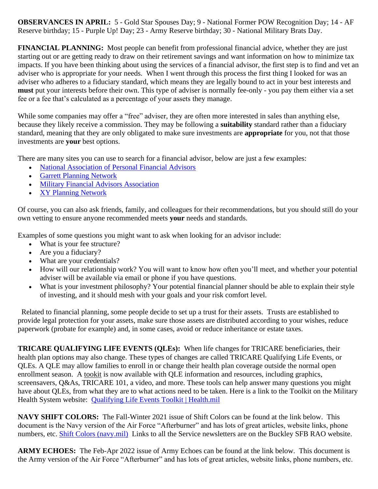**OBSERVANCES IN APRIL:** 5 - Gold Star Spouses Day; 9 - National Former POW Recognition Day; 14 - AF Reserve birthday; 15 - Purple Up! Day; 23 - Army Reserve birthday; 30 - National Military Brats Day.

**FINANCIAL PLANNING:** Most people can benefit from professional financial advice, whether they are just starting out or are getting ready to draw on their retirement savings and want information on how to minimize tax impacts. If you have been thinking about using the services of a financial advisor, the first step is to find and vet an adviser who is appropriate for your needs. When I went through this process the first thing I looked for was an adviser who adheres to a fiduciary standard, which means they are legally bound to act in your best interests and **must** put your interests before their own. This type of adviser is normally fee-only - you pay them either via a set fee or a fee that's calculated as a percentage of your assets they manage.

While some companies may offer a "free" adviser, they are often more interested in sales than anything else, because they likely receive a commission. They may be following a **suitability** standard rather than a fiduciary standard, meaning that they are only obligated to make sure investments are **appropriate** for you, not that those investments are **your** best options.

There are many sites you can use to search for a financial advisor, below are just a few examples:

- [National Association of Personal Financial Advisors](https://www.napfa.org/)
- [Garrett Planning Network](http://www.garrettplanning.com/)
- [Military Financial Advisors Association](http://militaryfinancialadvisors.org/)
- [XY Planning Network](https://www.xyplanningnetwork.com/)

Of course, you can also ask friends, family, and colleagues for their recommendations, but you should still do your own vetting to ensure anyone recommended meets **your** needs and standards.

Examples of some questions you might want to ask when looking for an advisor include:

- What is your fee structure?
- Are you a fiduciary?
- What are your credentials?
- How will our relationship work? You will want to know how often you'll meet, and whether your potential adviser will be available via email or phone if you have questions.
- What is your investment philosophy? Your potential financial planner should be able to explain their style of investing, and it should mesh with your goals and your risk comfort level.

 Related to financial planning, some people decide to set up a trust for their assets. Trusts are established to provide legal protection for your assets, make sure those assets are distributed according to your wishes, reduce paperwork (probate for example) and, in some cases, avoid or reduce inheritance or estate taxes.

**TRICARE QUALIFYING LIFE EVENTS (QLEs):** When life changes for TRICARE beneficiaries, their health plan options may also change. These types of changes are called TRICARE Qualifying Life Events, or QLEs. A QLE may allow families to enroll in or change their health plan coverage outside the normal open enrollment season. A [tookit](http://www.health.mil/qletoolkit) is now available with QLE information and resources, including graphics, screensavers, Q&As, TRICARE 101, a video, and more. These tools can help answer many questions you might have about QLEs, from what they are to what actions need to be taken. Here is a link to the Toolkit on the Military Health System website: [Qualifying Life Events Toolkit | Health.mil](https://www.health.mil/Military-Health-Topics/MHS-Toolkits/QLE-Toolkit)

**NAVY SHIFT COLORS:** The Fall-Winter 2021 issue of Shift Colors can be found at the link below. This document is the Navy version of the Air Force "Afterburner" and has lots of great articles, website links, phone numbers, etc. [Shift Colors \(navy.mil\)](https://www.mynavyhr.navy.mil/Media-Center/Publications/Shift-Colors/) Links to all the Service newsletters are on the Buckley SFB RAO website.

**ARMY ECHOES:** The Feb-Apr 2022 issue of Army Echoes can be found at the link below. This document is the Army version of the Air Force "Afterburner" and has lots of great articles, website links, phone numbers, etc.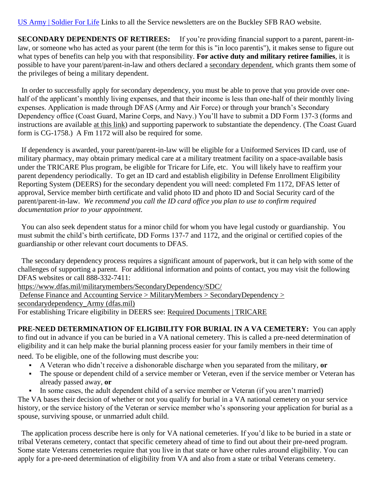[US Army | Soldier For Life](https://soldierforlife.army.mil/Retirement/army-echoes) Links to all the Service newsletters are on the Buckley SFB RAO website.

**SECONDARY DEPENDENTS OF RETIREES:** If you're providing financial support to a parent, parent-inlaw, or someone who has acted as your parent (the term for this is "in loco parentis"), it makes sense to figure out what types of benefits can help you with that responsibility. **For active duty and military retiree families**, it is possible to have your parent/parent-in-law and others declared a [secondary dependent,](https://www.dfas.mil/militarymembers/secondarydependency/sdc/) which grants them some of the privileges of being a military dependent.

 In order to successfully apply for secondary dependency, you must be able to prove that you provide over onehalf of the applicant's monthly living expenses, and that their income is less than one-half of their monthly living expenses. Application is made through DFAS (Army and Air Force) or through your branch's Secondary Dependency office (Coast Guard, Marine Corps, and Navy.) You'll have to submit a DD Form 137-3 (forms and instructions are available [at this link\)](https://www.dfas.mil/militarymembers/SecondaryDependency/secondarydependency_Army/claims_packages_Army/) and supporting paperwork to substantiate the dependency. (The Coast Guard form is CG-1758.) A Fm 1172 will also be required for some.

 If dependency is awarded, your parent/parent-in-law will be eligible for a Uniformed Services ID card, use of military pharmacy, may obtain primary medical care at a military treatment facility on a space-available basis under the TRICARE Plus program, be eligible for Tricare for Life, etc. You will likely have to reaffirm your parent dependency periodically. To get an ID card and establish eligibility in Defense Enrollment Eligibility Reporting System (DEERS) for the secondary dependent you will need: completed Fm 1172, DFAS letter of approval, Service member birth certificate and valid photo ID and photo ID and Social Security card of the parent/parent-in-law. *We recommend you call the ID card office you plan to use to confirm required documentation prior to your appointment.*

 You can also seek dependent status for a minor child for whom you have legal custody or guardianship. You must submit the child's birth certificate, DD Forms 137-7 and 1172, and the original or certified copies of the guardianship or other relevant court documents to DFAS.

 The secondary dependency process requires a significant amount of paperwork, but it can help with some of the challenges of supporting a parent. For additional information and points of contact, you may visit the following DFAS websites or call 888-332-7411:

<https://www.dfas.mil/militarymembers/SecondaryDependency/SDC/>

[Defense Finance and Accounting Service > MilitaryMembers > SecondaryDependency >](https://www.dfas.mil/militarymembers/SecondaryDependency/secondarydependency_Army/)  [secondarydependency\\_Army \(dfas.mil\)](https://www.dfas.mil/militarymembers/SecondaryDependency/secondarydependency_Army/)

For establishing Tricare eligibility in DEERS see: [Required Documents | TRICARE](https://www.tricare.mil/Plans/Eligibility/DEERS/RequiredDocuments)

**PRE-NEED DETERMINATION OF ELIGIBILITY FOR BURIAL IN A VA CEMETERY:** You can apply to find out in advance if you can be buried in a VA national cemetery. This is called a pre-need determination of eligibility and it can help make the burial planning process easier for your family members in their time of need. To be eligible, one of the following must describe you:

- A Veteran who didn't receive a dishonorable discharge when you separated from the military, **or**
- The spouse or dependent child of a service member or Veteran, even if the service member or Veteran has already passed away, **or**
- In some cases, the adult dependent child of a service member or Veteran (if you aren't married)

The VA bases their decision of whether or not you qualify for burial in a VA national cemetery on your service history, or the service history of the Veteran or service member who's sponsoring your application for burial as a spouse, surviving spouse, or unmarried adult child.

 The application process describe here is only for VA national cemeteries. If you'd like to be buried in a state or tribal Veterans cemetery, contact that specific cemetery ahead of time to find out about their pre-need program. Some state Veterans cemeteries require that you live in that state or have other rules around eligibility. You can apply for a pre-need determination of eligibility from VA and also from a state or tribal Veterans cemetery.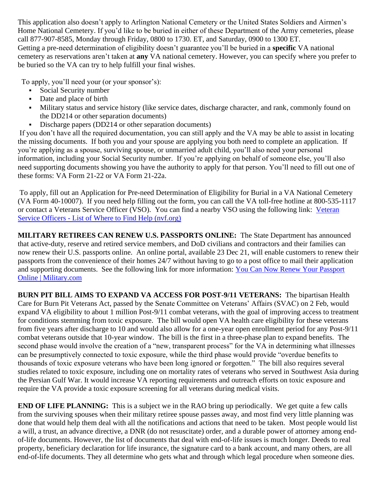This application also doesn't apply to Arlington National Cemetery or the United States Soldiers and Airmen's Home National Cemetery. If you'd like to be buried in either of these Department of the Army cemeteries, please call [877-907-8585,](tel:+18779078585) Monday through Friday, 0800 to 1730. ET, and Saturday, 0900 to 1300 ET. Getting a pre-need determination of eligibility doesn't guarantee you'll be buried in a **specific** VA national cemetery as reservations aren't taken at **any** VA national cemetery. However, you can specify where you prefer to be buried so the VA can try to help fulfill your final wishes.

To apply, you'll need your (or your sponsor's):

- Social Security number
- Date and place of birth
- Military status and service history (like service dates, discharge character, and rank, commonly found on the DD214 or other separation documents)
- **•** Discharge papers (DD214 or other separation documents)

If you don't have all the required documentation, you can still apply and the VA may be able to assist in locating the missing documents. If both you and your spouse are applying you both need to complete an application. If you're applying as a spouse, surviving spouse, or unmarried adult child, you'll also need your personal information, including your Social Security number. If you're applying on behalf of someone else, you'll also need supporting documents showing you have the authority to apply for that person. You'll need to fill out one of these forms: VA Form 21-22 or VA Form 21-22a.

To apply, fill out an Application for Pre-need Determination of Eligibility for Burial in a VA National Cemetery (VA Form 40-10007). If you need help filling out the form, you can call the VA toll-free hotline at [800-535-1117](tel:+18005351117) or contact a Veterans Service Officer (VSO). You can find a nearby VSO using the following link: [Veteran](https://nvf.org/veteran-service-officers/)  Service Officers - [List of Where to Find Help \(nvf.org\)](https://nvf.org/veteran-service-officers/)

**MILITARY RETIREES CAN RENEW U.S. PASSPORTS ONLINE:** The State Department has announced that active-duty, reserve and retired service members, and DoD civilians and contractors and their families can now renew their U.S. passports online. An online portal, available 23 Dec 21, will enable customers to renew their passports from the convenience of their homes 24/7 without having to go to a post office to mail their application and supporting documents. See the following link for more information: [You Can Now Renew Your Passport](https://www.military.com/daily-news/2021/12/22/you-can-now-renew-your-passport-online.html)  [Online | Military.com](https://www.military.com/daily-news/2021/12/22/you-can-now-renew-your-passport-online.html)

**BURN PIT BILL AIMS TO EXPAND VA ACCESS FOR POST-9/11 VETERANS:** The bipartisan Health Care for Burn Pit Veterans Act, passed by the Senate Committee on Veterans' Affairs (SVAC) on 2 Feb, would expand VA eligibility to about 1 million Post-9/11 combat veterans, with the goal of improving access to treatment for conditions stemming from toxic exposure. The bill would open VA health care eligibility for these veterans from five years after discharge to 10 and would also allow for a one-year open enrollment period for any Post-9/11 combat veterans outside that 10-year window. The bill is the first in a three-phase plan to expand benefits. The second phase would involve the creation of a "new, transparent process" for the VA in determining what illnesses can be presumptively connected to toxic exposure, while the third phase would provide "overdue benefits to thousands of toxic exposure veterans who have been long ignored or forgotten." The bill also requires several studies related to toxic exposure, including one on mortality rates of veterans who served in Southwest Asia during the Persian Gulf War. It would increase VA reporting requirements and outreach efforts on toxic exposure and require the VA provide a toxic exposure screening for all veterans during medical visits.

**END OF LIFE PLANNING:** This is a subject we in the RAO bring up periodically. We get quite a few calls from the surviving spouses when their military retiree spouse passes away, and most find very little planning was done that would help them deal with all the notifications and actions that need to be taken. Most people would list a will, a trust, an advance directive, a DNR (do not resuscitate) order, and a durable power of attorney among endof-life documents. However, the list of documents that deal with end-of-life issues is much longer. Deeds to real property, beneficiary declaration for life insurance, the signature card to a bank account, and many others, are all end-of-life documents. They all determine who gets what and through which legal procedure when someone dies.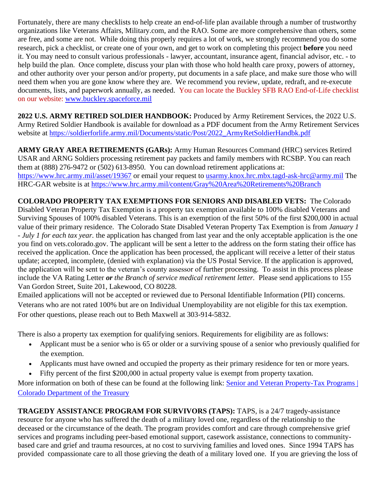Fortunately, there are many checklists to help create an end-of-life plan available through a number of trustworthy organizations like Veterans Affairs, Military.com, and the RAO. Some are more comprehensive than others, some are free, and some are not. While doing this properly requires a lot of work, we strongly recommend you do some research, pick a checklist, or create one of your own, and get to work on completing this project **before** you need it. You may need to consult various professionals - lawyer, accountant, insurance agent, financial advisor, etc. - to help build the plan. Once complete, discuss your plan with those who hold health care proxy, powers of attorney, and other authority over your person and/or property, put documents in a safe place, and make sure those who will need them when you are gone know where they are. We recommend you review, update, redraft, and re-execute documents, lists, and paperwork annually, as needed. You can locate the Buckley SFB RAO End-of-Life checklist on our website: [www.buckley.spaceforce.mil](https://www.buckley.spaceforce.mil/Units/Retiree-Activities-Office/)

**2022 U.S. ARMY RETIRED SOLDIER HANDBOOK:** Produced by Army Retirement Services, the 2022 U.S. Army Retired Soldier Handbook is available for download as a PDF document from the Army Retirement Services website at [https://soldierforlife.army.mil/Documents/static/Post/2022\\_ArmyRetSoldierHandbk.pdf](https://soldierforlife.army.mil/Documents/static/Post/2022_ArmyRetSoldierHandbk.pdf)

**ARMY GRAY AREA RETIREMENTS (GARs):** Army Human Resources Command (HRC) services Retired USAR and ARNG Soldiers processing retirement pay packets and family members with RCSBP. You can reach them at (888) 276-9472 or (502) 613-8950. You can download retirement applications at: <https://www.hrc.army.mil/asset/19367> or email your request to [usarmy.knox.hrc.mbx.tagd-ask-hrc@army.mil](mailto:usarmy.knox.hrc.mbx.tagd-ask-hrc@army.mil) The HRC-GAR website is at<https://www.hrc.army.mil/content/Gray%20Area%20Retirements%20Branch>

**COLORADO PROPERTY TAX EXEMPTIONS FOR SENIORS AND DISABLED VETS:** The Colorado Disabled Veteran Property Tax Exemption is a property tax exemption available to 100% disabled Veterans and Surviving Spouses of 100% disabled Veterans. This is an exemption of the first 50% of the first \$200,000 in actual value of their primary residence.The Colorado State Disabled Veteran Property Tax Exemption is from *January 1 - July 1 for each tax year.* the application has changed from last year and the only acceptable application is the one you find on vets.colorado.gov. The applicant will be sent a letter to the address on the form stating their office has received the application. Once the application has been processed, the applicant will receive a letter of their status update; accepted, incomplete, (denied with explanation) via the US Postal Service. If the application is approved, the application will be sent to the veteran's county assessor of further processing. To assist in this process please include the VA Rating Letter *or the Branch of service medical retirement letter.* Please send applications to 155 Van Gordon Street, Suite 201, Lakewood, CO 80228.

Emailed applications will not be accepted or reviewed due to Personal Identifiable Information (PII) concerns. Veterans who are not rated 100% but are on Individual Unemployability are not eligible for this tax exemption. For other questions, please reach out to Beth Maxwell at 303-914-5832.

There is also a property tax exemption for qualifying seniors. Requirements for eligibility are as follows:

- Applicant must be a senior who is 65 or older or a surviving spouse of a senior who previously qualified for the exemption.
- Applicants must have owned and occupied the property as their primary residence for ten or more years.
- Fifty percent of the first \$200,000 in actual property value is exempt from property taxation.

More information on both of these can be found at the following link: Senior and Veteran Property-Tax Programs | [Colorado Department of the Treasury](https://treasury.colorado.gov/senior-and-veteran-property-tax-programs)

**TRAGEDY ASSISTANCE PROGRAM FOR SURVIVORS (TAPS):** TAPS, is a 24/7 tragedy-assistance resource for anyone who has suffered the death of a military loved one, regardless of the relationship to the deceased or the circumstance of the death. The program provides comfort and care through comprehensive grief services and programs including peer-based emotional support, casework assistance, connections to communitybased care and grief and trauma resources, at no cost to surviving families and loved ones. Since 1994 TAPS has provided compassionate care to all those grieving the death of a military loved one. If you are grieving the loss of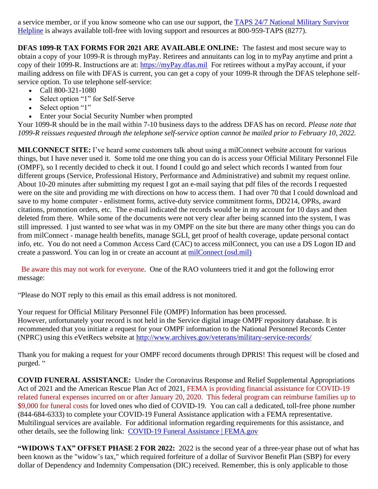a service member, or if you know someone who can use our support, the [TAPS 24/7 National Military Survivor](https://www.taps.org/join-taps/survivor-helpline/)  [Helpline](https://www.taps.org/join-taps/survivor-helpline/) is always available toll-free with loving support and resources at 800-959-TAPS (8277).

**DFAS 1099-R TAX FORMS FOR 2021 ARE AVAILABLE ONLINE:** The fastest and most secure way to obtain a copy of your 1099-R is through myPay. Retirees and annuitants can log in to myPay anytime and print a copy of their 1099-R. Instructions are at: [https://myPay.dfas.mil](https://mypay.dfas.mil/) For retirees without a myPay account, if your mailing address on file with DFAS is current, you can get a copy of your 1099-R through the DFAS telephone selfservice option. To use telephone self-service:

- Call 800-321-1080
- Select option "1" for Self-Serve
- Select option "1"
- Enter your Social Security Number when prompted

Your 1099-R should be in the mail within 7-10 business days to the address DFAS has on record. *Please note that 1099-R reissues requested through the telephone self-service option cannot be mailed prior to February 10, 2022.*

**MILCONNECT SITE:** I've heard some customers talk about using a milConnect website account for various things, but I have never used it. Some told me one thing you can do is access your Official Military Personnel File (OMPF), so I recently decided to check it out. I found I could go and select which records I wanted from four different groups (Service, Professional History, Performance and Administrative) and submit my request online. About 10-20 minutes after submitting my request I got an e-mail saying that pdf files of the records I requested were on the site and providing me with directions on how to access them. I had over 70 that I could download and save to my home computer - enlistment forms, active-duty service commitment forms, DD214, OPRs, award citations, promotion orders, etc. The e-mail indicated the records would be in my account for 10 days and then deleted from there. While some of the documents were not very clear after being scanned into the system, I was still impressed. I just wanted to see what was in my OMPF on the site but there are many other things you can do from milConnect - manage health benefits, manage SGLI, get proof of health coverage, update personal contact info, etc. You do not need a Common Access Card (CAC) to access milConnect, you can use a DS Logon ID and create a password. You can log in or create an account at [milConnect \(osd.mil\)](https://milconnect.dmdc.osd.mil/milconnect/)

 Be aware this may not work for everyone. One of the RAO volunteers tried it and got the following error message:

"Please do NOT reply to this email as this email address is not monitored.

Your request for Official Military Personnel File (OMPF) Information has been processed. However, unfortunately your record is not held in the Service digital image OMPF repository database. It is recommended that you initiate a request for your OMPF information to the National Personnel Records Center (NPRC) using this eVetRecs website at<http://www.archives.gov/veterans/military-service-records/>

Thank you for making a request for your OMPF record documents through DPRIS! This request will be closed and purged. "

**COVID FUNERAL ASSISTANCE:** Under the Coronavirus Response and Relief Supplemental Appropriations Act of 2021 and the American Rescue Plan Act of 2021, FEMA is providing financial assistance for COVID-19 related funeral expenses incurred on or after January 20, 2020. This federal program can reimburse families up to \$9,000 for funeral costs for loved ones who died of COVID-19. You can call a dedicated, toll-free phone number (844-684-6333) to complete your COVID-19 Funeral Assistance application with a FEMA representative. Multilingual services are available. For additional information regarding requirements for this assistance, and other details, see the following link: [COVID-19 Funeral Assistance | FEMA.gov](https://www.fema.gov/disaster/coronavirus/economic/funeral-assistance)

**"WIDOWS TAX" OFFSET PHASE 2 FOR 2022:** 2022 is the second year of a three-year phase out of what has been known as the "widow's tax," which required forfeiture of a dollar of Survivor Benefit Plan (SBP) for every dollar of Dependency and Indemnity Compensation (DIC) received. Remember, this is only applicable to those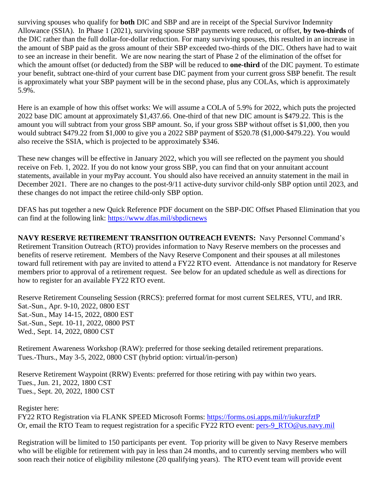surviving spouses who qualify for **both** DIC and SBP and are in receipt of the Special Survivor Indemnity Allowance (SSIA). In Phase 1 (2021), surviving spouse SBP payments were reduced, or offset, **by two-thirds** of the DIC rather than the full dollar-for-dollar reduction. For many surviving spouses, this resulted in an increase in the amount of SBP paid as the gross amount of their SBP exceeded two-thirds of the DIC. Others have had to wait to see an increase in their benefit. We are now nearing the start of Phase 2 of the elimination of the offset for which the amount offset (or deducted) from the SBP will be reduced to **one-third** of the DIC payment. To estimate your benefit, subtract one-third of your current base DIC payment from your current gross SBP benefit. The result is approximately what your SBP payment will be in the second phase, plus any COLAs, which is approximately 5.9%.

Here is an example of how this offset works: We will assume a COLA of 5.9% for 2022, which puts the projected 2022 base DIC amount at approximately \$1,437.66. One-third of that new DIC amount is \$479.22. This is the amount you will subtract from your gross SBP amount. So, if your gross SBP without offset is \$1,000, then you would subtract \$479.22 from \$1,000 to give you a 2022 SBP payment of \$520.78 (\$1,000-\$479.22). You would also receive the SSIA, which is projected to be approximately \$346.

These new changes will be effective in January 2022, which you will see reflected on the payment you should receive on Feb. 1, 2022. If you do not know your gross SBP, you can find that on your annuitant account statements, available in your myPay account. You should also have received an annuity statement in the mail in December 2021. There are no changes to the post-9/11 active-duty survivor child-only SBP option until 2023, and these changes do not impact the retiree child-only SBP option.

DFAS has put together a new Quick Reference PDF document on the SBP-DIC Offset Phased Elimination that you can find at the following link:<https://www.dfas.mil/sbpdicnews>

**NAVY RESERVE RETIREMENT TRANSITION OUTREACH EVENTS:** Navy Personnel Command's Retirement Transition Outreach (RTO) provides information to Navy Reserve members on the processes and benefits of reserve retirement. Members of the Navy Reserve Component and their spouses at all milestones toward full retirement with pay are invited to attend a FY22 RTO event. Attendance is not mandatory for Reserve members prior to approval of a retirement request. See below for an updated schedule as well as directions for how to register for an available FY22 RTO event.

Reserve Retirement Counseling Session (RRCS): preferred format for most current SELRES, VTU, and IRR. Sat.-Sun., Apr. 9-10, 2022, 0800 EST Sat.-Sun., May 14-15, 2022, 0800 EST Sat.-Sun., Sept. 10-11, 2022, 0800 PST Wed., Sept. 14, 2022, 0800 CST

Retirement Awareness Workshop (RAW): preferred for those seeking detailed retirement preparations. Tues.-Thurs., May 3-5, 2022, 0800 CST (hybrid option: virtual/in-person)

Reserve Retirement Waypoint (RRW) Events: preferred for those retiring with pay within two years. Tues., Jun. 21, 2022, 1800 CST Tues., Sept. 20, 2022, 1800 CST

Register here:

FY22 RTO Registration via FLANK SPEED Microsoft Forms:<https://forms.osi.apps.mil/r/iukurzfztP> Or, email the RTO Team to request registration for a specific FY22 RTO event: [pers-9\\_RTO@us.navy.mil](mailto:pers-9_RTO@us.navy.mil)

Registration will be limited to 150 participants per event. Top priority will be given to Navy Reserve members who will be eligible for retirement with pay in less than 24 months, and to currently serving members who will soon reach their notice of eligibility milestone (20 qualifying years). The RTO event team will provide event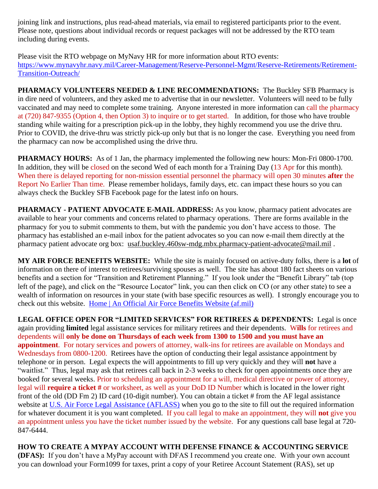joining link and instructions, plus read-ahead materials, via email to registered participants prior to the event. Please note, questions about individual records or request packages will not be addressed by the RTO team including during events.

Please visit the RTO webpage on MyNavy HR for more information about RTO events: [https://www.mynavyhr.navy.mil/Career-Management/Reserve-Personnel-Mgmt/Reserve-Retirements/Retirement-](https://www.mynavyhr.navy.mil/Career-Management/Reserve-Personnel-Mgmt/Reserve-Retirements/Retirement-Transition-Outreach/)[Transition-Outreach/](https://www.mynavyhr.navy.mil/Career-Management/Reserve-Personnel-Mgmt/Reserve-Retirements/Retirement-Transition-Outreach/)

**PHARMACY VOLUNTEERS NEEDED & LINE RECOMMENDATIONS:** The Buckley SFB Pharmacy is in dire need of volunteers, and they asked me to advertise that in our newsletter. Volunteers will need to be fully vaccinated and may need to complete some training. Anyone interested in more information can call the pharmacy at (720) 847-9355 (Option 4, then Option 3) to inquire or to get started. In addition, for those who have trouble standing while waiting for a prescription pick-up in the lobby, they highly recommend you use the drive thru. Prior to COVID, the drive-thru was strictly pick-up only but that is no longer the case. Everything you need from the pharmacy can now be accomplished using the drive thru.

**PHARMACY HOURS:** As of 1 Jan, the pharmacy implemented the following new hours: Mon-Fri 0800-1700. In addition, they will be closed on the second Wed of each month for a Training Day (13 Apr for this month). When there is delayed reporting for non-mission essential personnel the pharmacy will open 30 minutes **after** the Report No Earlier Than time. Please remember holidays, family days, etc. can impact these hours so you can always check the Buckley SFB Facebook page for the latest info on hours.

**PHARMACY - PATIENT ADVOCATE E-MAIL ADDRESS:** As you know, pharmacy patient advocates are available to hear your comments and concerns related to pharmacy operations. There are forms available in the pharmacy for you to submit comments to them, but with the pandemic you don't have access to those. The pharmacy has established an e-mail inbox for the patient advocates so you can now e-mail them directly at the pharmacy patient advocate org box: [usaf.buckley.460sw-mdg.mbx.pharmacy-patient-advocate@mail.mil](mailto:usaf.buckley.460sw-mdg.mbx.pharmacy-patient-advocate@mail.mil) .

**MY AIR FORCE BENEFITS WEBSITE:** While the site is mainly focused on active-duty folks, there is a **lot** of information on there of interest to retirees/surviving spouses as well. The site has about 180 fact sheets on various benefits and a section for "Transition and Retirement Planning." If you look under the "Benefit Library" tab (top left of the page), and click on the "Resource Locator" link, you can then click on CO (or any other state) to see a wealth of information on resources in your state (with base specific resources as well). I strongly encourage you to check out this website. [Home | An Official Air Force Benefits Website \(af.mil\)](https://www.myairforcebenefits.us.af.mil/)

**LEGAL OFFICE OPEN FOR "LIMITED SERVICES" FOR RETIREES & DEPENDENTS:** Legal is once again providing **limited** legal assistance services for military retirees and their dependents. W**ills** for retirees and dependents will **only be done on Thursdays of each week from 1300 to 1500 and you must have an appointment**. For notary services and powers of attorney, walk-ins for retirees are available on Mondays and Wednesdays from 0800-1200. Retirees have the option of conducting their legal assistance appointment by telephone or in person. Legal expects the will appointments to fill up very quickly and they will **not** have a "waitlist." Thus, legal may ask that retirees call back in 2-3 weeks to check for open appointments once they are booked for several weeks. Prior to scheduling an appointment for a will, medical directive or power of attorney, legal will **require a ticket #** or worksheet, as well as your DoD ID Number which is located in the lower right front of the old (DD Fm 2) ID card (10-digit number). You can obtain a ticket # from the AF legal assistance website at [U.S. Air Force Legal Assistance \(AFLASS\)](https://aflegalassistance.law.af.mil/lass/lass.html) when you go to the site to fill out the required information for whatever document it is you want completed. If you call legal to make an appointment, they will **not** give you an appointment unless you have the ticket number issued by the website. For any questions call base legal at 720- 847-6444.

**HOW TO CREATE A MYPAY ACCOUNT WITH DEFENSE FINANCE & ACCOUNTING SERVICE (DFAS):** If you don't have a MyPay account with DFAS I recommend you create one. With your own account you can download your Form1099 for taxes, print a copy of your Retiree Account Statement (RAS), set up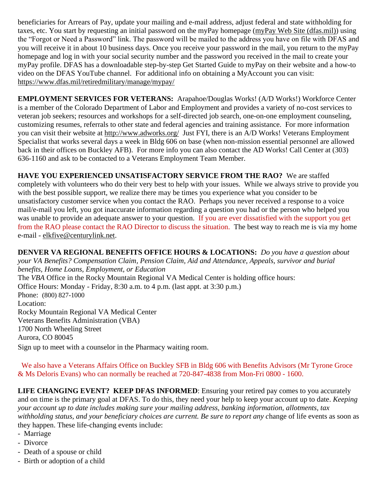beneficiaries for Arrears of Pay, update your mailing and e-mail address, adjust federal and state withholding for taxes, etc. You start by requesting an initial password on the myPay homepage [\(myPay Web Site \(dfas.mil\)\)](https://mypay.dfas.mil/#/) using the "Forgot or Need a Password" link. The password will be mailed to the address you have on file with DFAS and you will receive it in about 10 business days. Once you receive your password in the mail, you return to the myPay homepage and log in with your social security number and the password you received in the mail to create your myPay profile. DFAS has a downloadable step-by-step Get Started Guide to myPay on their website and a how-to video on the DFAS YouTube channel. For additional info on obtaining a MyAccount you can visit: <https://www.dfas.mil/retiredmilitary/manage/mypay/>

**EMPLOYMENT SERVICES FOR VETERANS:** Arapahoe/Douglas Works! (A/D Works!) Workforce Center is a member of the Colorado Department of Labor and Employment and provides a variety of no-cost services to veteran job seekers; resources and workshops for a self-directed job search, one-on-one employment counseling, customizing resumes, referrals to other state and federal agencies and training assistance. For more information you can visit their website at<http://www.adworks.org/>Just FYI, there is an A/D Works! Veterans Employment Specialist that works several days a week in Bldg 606 on base (when non-mission essential personnel are allowed back in their offices on Buckley AFB). For more info you can also contact the AD Works! Call Center at (303) 636-1160 and ask to be contacted to a Veterans Employment Team Member.

**HAVE YOU EXPERIENCED UNSATISFACTORY SERVICE FROM THE RAO?** We are staffed completely with volunteers who do their very best to help with your issues. While we always strive to provide you with the best possible support, we realize there may be times you experience what you consider to be unsatisfactory customer service when you contact the RAO. Perhaps you never received a response to a voice mail/e-mail you left, you got inaccurate information regarding a question you had or the person who helped you was unable to provide an adequate answer to your question. If you are ever dissatisfied with the support you get from the RAO please contact the RAO Director to discuss the situation. The best way to reach me is via my home e-mail - [elkfive@centurylink.net.](mailto:elkfive@centurylink.net)

**DENVER VA REGIONAL BENEFITS OFFICE HOURS & LOCATIONS:** *Do you have a question about your VA Benefits? Compensation Claim, Pension Claim, Aid and Attendance, Appeals, survivor and burial benefits, Home Loans, Employment, or Education*  The *VBA* Office in the Rocky Mountain Regional VA Medical Center is holding office hours: Office Hours: Monday - Friday, 8:30 a.m. to 4 p.m. (last appt. at 3:30 p.m.) Phone: [\(800\) 827-1000](https://www.google.com/search?source=hp&ei=1bIFXOnJLePk8APkxJfIDw&q=denver+va+regional+benefits+office+phone+number&oq=Denver+va+regional+benef&gs_l=psy-ab.1.1.0i22i30l4.1057.7073..9944...0.0..0.148.2902.2j23......0....1..gws-wiz.....0..0j0i131j0i10.2DXy9-Yewu0) Location: Rocky Mountain Regional VA Medical Center Veterans Benefits Administration (VBA) 1700 North Wheeling Street Aurora, CO 80045 Sign up to meet with a counselor in the Pharmacy waiting room.

 We also have a Veterans Affairs Office on Buckley SFB in Bldg 606 with Benefits Advisors (Mr Tyrone Groce & Ms Deloris Evans) who can normally be reached at 720-847-4838 from Mon-Fri 0800 - 1600.

**LIFE CHANGING EVENT? KEEP DFAS INFORMED:** Ensuring your retired pay comes to you accurately and on time is the primary goal at DFAS. To do this, they need your help to keep your account up to date. *Keeping your account up to date includes making sure your mailing address, banking information, allotments, tax*  withholding status, and your beneficiary choices are current. Be sure to report any change of life events as soon as they happen. These life-changing events include:

- Marriage
- Divorce
- Death of a spouse or child
- Birth or adoption of a child